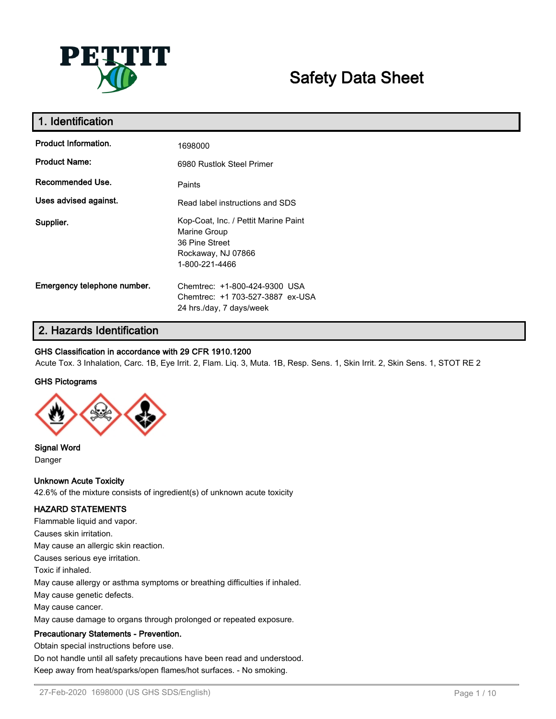

# **Safety Data Sheet**

| 1. Identification           |                                                                                                                |
|-----------------------------|----------------------------------------------------------------------------------------------------------------|
| Product Information.        | 1698000                                                                                                        |
| <b>Product Name:</b>        | 6980 Rustlok Steel Primer                                                                                      |
| Recommended Use.            | Paints                                                                                                         |
| Uses advised against.       | Read label instructions and SDS                                                                                |
| Supplier.                   | Kop-Coat, Inc. / Pettit Marine Paint<br>Marine Group<br>36 Pine Street<br>Rockaway, NJ 07866<br>1-800-221-4466 |
| Emergency telephone number. | Chemtrec: +1-800-424-9300 USA<br>Chemtrec: +1 703-527-3887 ex-USA<br>24 hrs./day, 7 days/week                  |

# **2. Hazards Identification**

# **GHS Classification in accordance with 29 CFR 1910.1200**

Acute Tox. 3 Inhalation, Carc. 1B, Eye Irrit. 2, Flam. Liq. 3, Muta. 1B, Resp. Sens. 1, Skin Irrit. 2, Skin Sens. 1, STOT RE 2

# **GHS Pictograms**



**Signal Word** Danger

# **Unknown Acute Toxicity**

42.6% of the mixture consists of ingredient(s) of unknown acute toxicity

# **HAZARD STATEMENTS**

Flammable liquid and vapor. Causes skin irritation. May cause an allergic skin reaction. Causes serious eye irritation. Toxic if inhaled. May cause allergy or asthma symptoms or breathing difficulties if inhaled. May cause genetic defects. May cause cancer. May cause damage to organs through prolonged or repeated exposure.

# **Precautionary Statements - Prevention.**

Obtain special instructions before use.

Do not handle until all safety precautions have been read and understood. Keep away from heat/sparks/open flames/hot surfaces. - No smoking.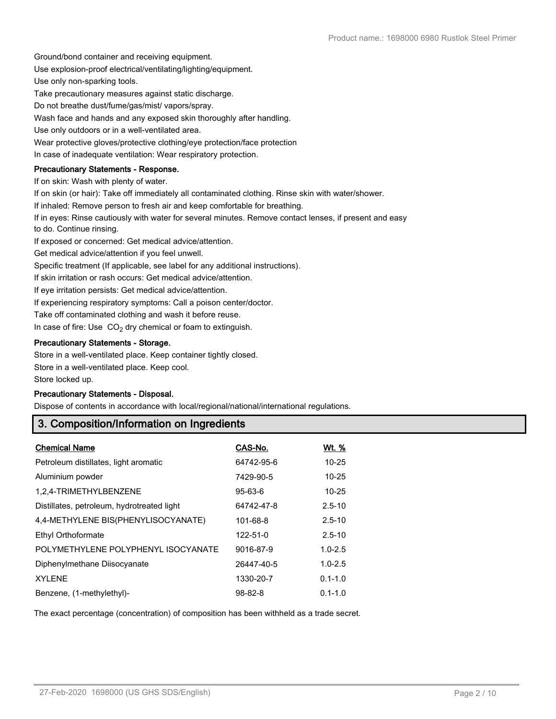Ground/bond container and receiving equipment.

Use explosion-proof electrical/ventilating/lighting/equipment.

Use only non-sparking tools.

Take precautionary measures against static discharge.

Do not breathe dust/fume/gas/mist/ vapors/spray.

Wash face and hands and any exposed skin thoroughly after handling.

Use only outdoors or in a well-ventilated area.

Wear protective gloves/protective clothing/eye protection/face protection

In case of inadequate ventilation: Wear respiratory protection.

# **Precautionary Statements - Response.**

If on skin: Wash with plenty of water.

If on skin (or hair): Take off immediately all contaminated clothing. Rinse skin with water/shower.

If inhaled: Remove person to fresh air and keep comfortable for breathing.

If in eyes: Rinse cautiously with water for several minutes. Remove contact lenses, if present and easy to do. Continue rinsing.

If exposed or concerned: Get medical advice/attention.

Get medical advice/attention if you feel unwell.

Specific treatment (If applicable, see label for any additional instructions).

If skin irritation or rash occurs: Get medical advice/attention.

If eye irritation persists: Get medical advice/attention.

If experiencing respiratory symptoms: Call a poison center/doctor.

Take off contaminated clothing and wash it before reuse.

In case of fire: Use  $CO<sub>2</sub>$  dry chemical or foam to extinguish.

# **Precautionary Statements - Storage.**

Store in a well-ventilated place. Keep container tightly closed.

Store in a well-ventilated place. Keep cool.

Store locked up.

# **Precautionary Statements - Disposal.**

Dispose of contents in accordance with local/regional/national/international regulations.

# **3. Composition/Information on Ingredients**

| <b>Chemical Name</b>                       | CAS-No.       | <u>Wt. %</u> |
|--------------------------------------------|---------------|--------------|
| Petroleum distillates, light aromatic      | 64742-95-6    | $10 - 25$    |
| Aluminium powder                           | 7429-90-5     | $10 - 25$    |
| 1,2,4-TRIMETHYLBENZENE                     | $95 - 63 - 6$ | $10 - 25$    |
| Distillates, petroleum, hydrotreated light | 64742-47-8    | $2.5 - 10$   |
| 4,4-METHYLENE BIS(PHENYLISOCYANATE)        | 101-68-8      | $2.5 - 10$   |
| Ethyl Orthoformate                         | 122-51-0      | $2.5 - 10$   |
| POLYMETHYLENE POLYPHENYL ISOCYANATE        | 9016-87-9     | $1.0 - 2.5$  |
| Diphenylmethane Diisocyanate               | 26447-40-5    | $1.0 - 2.5$  |
| <b>XYLENE</b>                              | 1330-20-7     | $0.1 - 1.0$  |
| Benzene, (1-methylethyl)-                  | $98 - 82 - 8$ | $0.1 - 1.0$  |

The exact percentage (concentration) of composition has been withheld as a trade secret.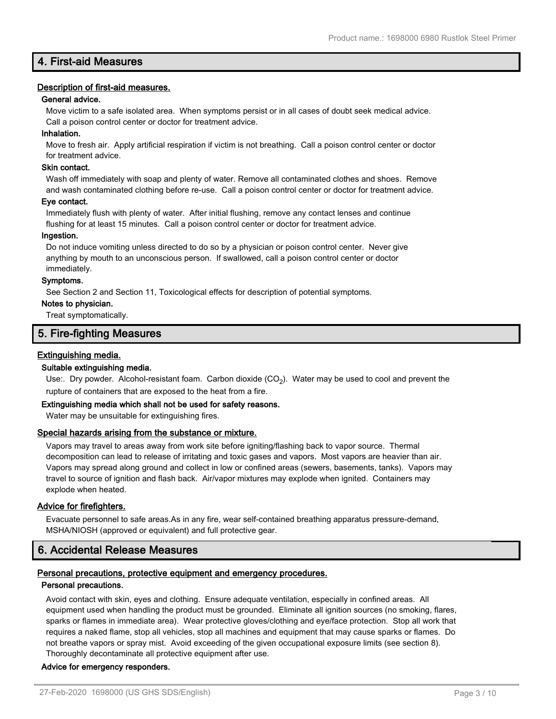# **4. First-aid Measures**

# **Description of first-aid measures.**

# **General advice.**

Move victim to a safe isolated area. When symptoms persist or in all cases of doubt seek medical advice. Call a poison control center or doctor for treatment advice.

# **Inhalation.**

Move to fresh air. Apply artificial respiration if victim is not breathing. Call a poison control center or doctor for treatment advice.

# **Skin contact.**

Wash off immediately with soap and plenty of water. Remove all contaminated clothes and shoes. Remove and wash contaminated clothing before re-use. Call a poison control center or doctor for treatment advice.

#### **Eye contact.**

Immediately flush with plenty of water. After initial flushing, remove any contact lenses and continue flushing for at least 15 minutes. Call a poison control center or doctor for treatment advice.

#### **Ingestion.**

Do not induce vomiting unless directed to do so by a physician or poison control center. Never give anything by mouth to an unconscious person. If swallowed, call a poison control center or doctor immediately.

#### **Symptoms.**

See Section 2 and Section 11, Toxicological effects for description of potential symptoms.

# **Notes to physician.**

Treat symptomatically.

# **5. Fire-fighting Measures**

# **Extinguishing media.**

# **Suitable extinguishing media.**

Use:. Dry powder. Alcohol-resistant foam. Carbon dioxide (CO<sub>2</sub>). Water may be used to cool and prevent the rupture of containers that are exposed to the heat from a fire.

# **Extinguishing media which shall not be used for safety reasons.**

Water may be unsuitable for extinguishing fires.

# **Special hazards arising from the substance or mixture.**

Vapors may travel to areas away from work site before igniting/flashing back to vapor source. Thermal decomposition can lead to release of irritating and toxic gases and vapors. Most vapors are heavier than air. Vapors may spread along ground and collect in low or confined areas (sewers, basements, tanks). Vapors may travel to source of ignition and flash back. Air/vapor mixtures may explode when ignited. Containers may explode when heated.

# **Advice for firefighters.**

Evacuate personnel to safe areas.As in any fire, wear self-contained breathing apparatus pressure-demand, MSHA/NIOSH (approved or equivalent) and full protective gear.

# **6. Accidental Release Measures**

# **Personal precautions, protective equipment and emergency procedures.**

#### **Personal precautions.**

Avoid contact with skin, eyes and clothing. Ensure adequate ventilation, especially in confined areas. All equipment used when handling the product must be grounded. Eliminate all ignition sources (no smoking, flares, sparks or flames in immediate area). Wear protective gloves/clothing and eye/face protection. Stop all work that requires a naked flame, stop all vehicles, stop all machines and equipment that may cause sparks or flames. Do not breathe vapors or spray mist. Avoid exceeding of the given occupational exposure limits (see section 8). Thoroughly decontaminate all protective equipment after use.

# **Advice for emergency responders.**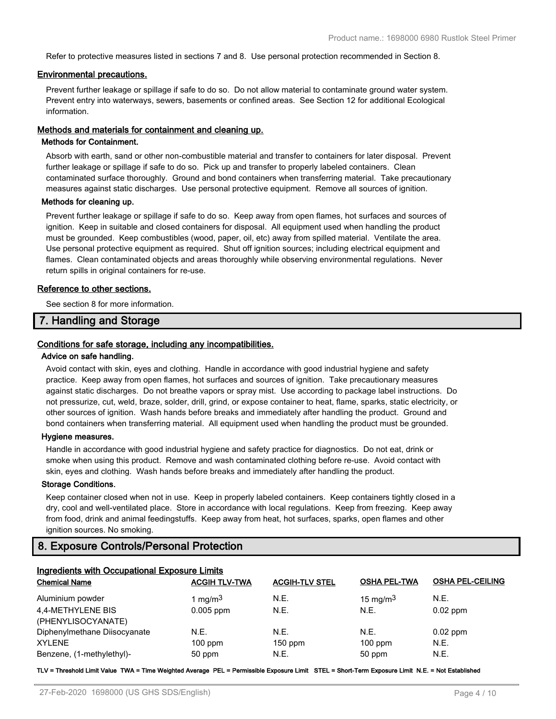Refer to protective measures listed in sections 7 and 8. Use personal protection recommended in Section 8.

#### **Environmental precautions.**

Prevent further leakage or spillage if safe to do so. Do not allow material to contaminate ground water system. Prevent entry into waterways, sewers, basements or confined areas. See Section 12 for additional Ecological information.

# **Methods and materials for containment and cleaning up.**

# **Methods for Containment.**

Absorb with earth, sand or other non-combustible material and transfer to containers for later disposal. Prevent further leakage or spillage if safe to do so. Pick up and transfer to properly labeled containers. Clean contaminated surface thoroughly. Ground and bond containers when transferring material. Take precautionary measures against static discharges. Use personal protective equipment. Remove all sources of ignition.

#### **Methods for cleaning up.**

Prevent further leakage or spillage if safe to do so. Keep away from open flames, hot surfaces and sources of ignition. Keep in suitable and closed containers for disposal. All equipment used when handling the product must be grounded. Keep combustibles (wood, paper, oil, etc) away from spilled material. Ventilate the area. Use personal protective equipment as required. Shut off ignition sources; including electrical equipment and flames. Clean contaminated objects and areas thoroughly while observing environmental regulations. Never return spills in original containers for re-use.

#### **Reference to other sections.**

See section 8 for more information.

# **7. Handling and Storage**

# **Conditions for safe storage, including any incompatibilities.**

# **Advice on safe handling.**

Avoid contact with skin, eyes and clothing. Handle in accordance with good industrial hygiene and safety practice. Keep away from open flames, hot surfaces and sources of ignition. Take precautionary measures against static discharges. Do not breathe vapors or spray mist. Use according to package label instructions. Do not pressurize, cut, weld, braze, solder, drill, grind, or expose container to heat, flame, sparks, static electricity, or other sources of ignition. Wash hands before breaks and immediately after handling the product. Ground and bond containers when transferring material. All equipment used when handling the product must be grounded.

#### **Hygiene measures.**

Handle in accordance with good industrial hygiene and safety practice for diagnostics. Do not eat, drink or smoke when using this product. Remove and wash contaminated clothing before re-use. Avoid contact with skin, eyes and clothing. Wash hands before breaks and immediately after handling the product.

#### **Storage Conditions.**

Keep container closed when not in use. Keep in properly labeled containers. Keep containers tightly closed in a dry, cool and well-ventilated place. Store in accordance with local regulations. Keep from freezing. Keep away from food, drink and animal feedingstuffs. Keep away from heat, hot surfaces, sparks, open flames and other ignition sources. No smoking.

# **8. Exposure Controls/Personal Protection**

| <b>Ingredients with Occupational Exposure Limits</b> |                      |                       |                     |                         |
|------------------------------------------------------|----------------------|-----------------------|---------------------|-------------------------|
| <b>Chemical Name</b>                                 | <b>ACGIH TLV-TWA</b> | <b>ACGIH-TLV STEL</b> | <b>OSHA PEL-TWA</b> | <b>OSHA PEL-CEILING</b> |
| Aluminium powder                                     | 1 mg/m $3$           | N.E.                  | 15 mg/m $3$         | N.E.                    |
| 4,4-METHYLENE BIS                                    | $0.005$ ppm          | N.E.                  | N.E.                | $0.02$ ppm              |
| (PHENYLISOCYANATE)                                   |                      |                       |                     |                         |
| Diphenylmethane Diisocyanate                         | N.E.                 | N.E.                  | N.E.                | $0.02$ ppm              |
| <b>XYLENE</b>                                        | $100$ ppm            | $150$ ppm             | $100$ ppm           | N.E.                    |
| Benzene, (1-methylethyl)-                            | 50 ppm               | N.E.                  | 50 ppm              | N.E.                    |

**TLV = Threshold Limit Value TWA = Time Weighted Average PEL = Permissible Exposure Limit STEL = Short-Term Exposure Limit N.E. = Not Established**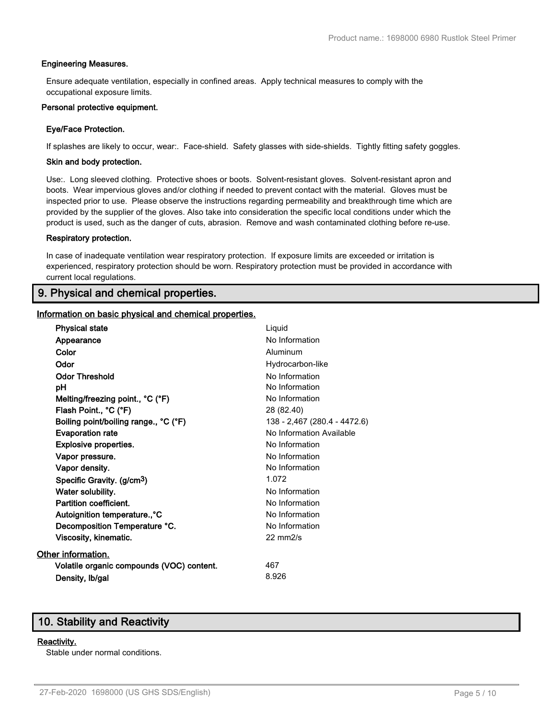# **Engineering Measures.**

Ensure adequate ventilation, especially in confined areas. Apply technical measures to comply with the occupational exposure limits.

#### **Personal protective equipment.**

# **Eye/Face Protection.**

If splashes are likely to occur, wear:. Face-shield. Safety glasses with side-shields. Tightly fitting safety goggles.

#### **Skin and body protection.**

Use:. Long sleeved clothing. Protective shoes or boots. Solvent-resistant gloves. Solvent-resistant apron and boots. Wear impervious gloves and/or clothing if needed to prevent contact with the material. Gloves must be inspected prior to use. Please observe the instructions regarding permeability and breakthrough time which are provided by the supplier of the gloves. Also take into consideration the specific local conditions under which the product is used, such as the danger of cuts, abrasion. Remove and wash contaminated clothing before re-use.

#### **Respiratory protection.**

In case of inadequate ventilation wear respiratory protection. If exposure limits are exceeded or irritation is experienced, respiratory protection should be worn. Respiratory protection must be provided in accordance with current local regulations.

# **9. Physical and chemical properties.**

#### **Information on basic physical and chemical properties.**

| <b>Physical state</b>                     | Liquid                       |
|-------------------------------------------|------------------------------|
| Appearance                                | No Information               |
| Color                                     | Aluminum                     |
| Odor                                      | Hydrocarbon-like             |
| <b>Odor Threshold</b>                     | No Information               |
| рH                                        | No Information               |
| Melting/freezing point., °C (°F)          | No Information               |
| Flash Point., °C (°F)                     | 28 (82.40)                   |
| Boiling point/boiling range., °C (°F)     | 138 - 2,467 (280.4 - 4472.6) |
| <b>Evaporation rate</b>                   | No Information Available     |
| Explosive properties.                     | No Information               |
| Vapor pressure.                           | No Information               |
| Vapor density.                            | No Information               |
| Specific Gravity. (g/cm <sup>3</sup> )    | 1.072                        |
| Water solubility.                         | No Information               |
| Partition coefficient.                    | No Information               |
| Autoignition temperature., °C             | No Information               |
| Decomposition Temperature °C.             | No Information               |
| Viscosity, kinematic.                     | $22 \text{ mm}$ 2/s          |
| Other information.                        |                              |
| Volatile organic compounds (VOC) content. | 467                          |
| Density, Ib/gal                           | 8.926                        |
|                                           |                              |

# **10. Stability and Reactivity**

#### **Reactivity.**

Stable under normal conditions.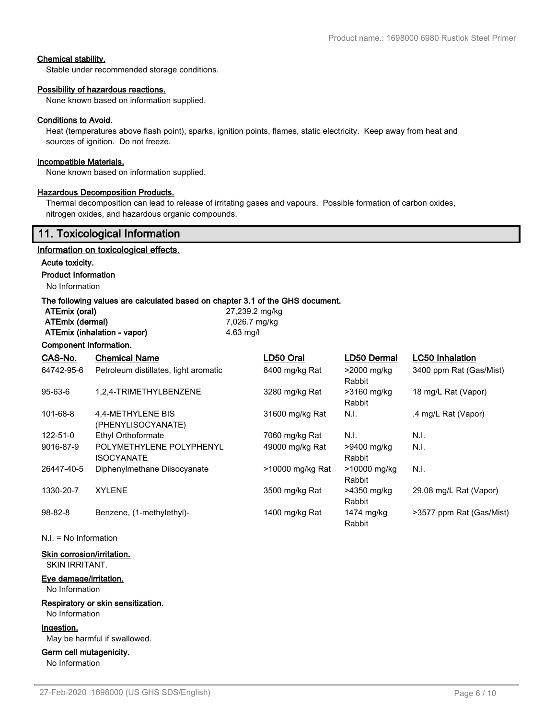# **Chemical stability.**

Stable under recommended storage conditions.

# **Possibility of hazardous reactions.**

None known based on information supplied.

# **Conditions to Avoid.**

Heat (temperatures above flash point), sparks, ignition points, flames, static electricity. Keep away from heat and sources of ignition. Do not freeze.

# **Incompatible Materials.**

None known based on information supplied.

# **Hazardous Decomposition Products.**

Thermal decomposition can lead to release of irritating gases and vapours. Possible formation of carbon oxides, nitrogen oxides, and hazardous organic compounds.

|                                                            | 11. Toxicological Information                                                 |                                 |                  |                        |                          |
|------------------------------------------------------------|-------------------------------------------------------------------------------|---------------------------------|------------------|------------------------|--------------------------|
|                                                            | Information on toxicological effects.                                         |                                 |                  |                        |                          |
| Acute toxicity.                                            |                                                                               |                                 |                  |                        |                          |
| <b>Product Information</b>                                 |                                                                               |                                 |                  |                        |                          |
| No Information                                             |                                                                               |                                 |                  |                        |                          |
|                                                            | The following values are calculated based on chapter 3.1 of the GHS document. |                                 |                  |                        |                          |
| ATEmix (oral)                                              |                                                                               | 27,239.2 mg/kg<br>7,026.7 mg/kg |                  |                        |                          |
| <b>ATEmix (dermal)</b>                                     | ATEmix (inhalation - vapor)                                                   | 4.63 mg/l                       |                  |                        |                          |
| <b>Component Information.</b>                              |                                                                               |                                 |                  |                        |                          |
| CAS-No.                                                    | <b>Chemical Name</b>                                                          |                                 | LD50 Oral        | LD50 Dermal            | <b>LC50 Inhalation</b>   |
| 64742-95-6                                                 | Petroleum distillates, light aromatic                                         |                                 | 8400 mg/kg Rat   | >2000 mg/kg            | 3400 ppm Rat (Gas/Mist)  |
|                                                            |                                                                               |                                 |                  | Rabbit                 |                          |
| $95 - 63 - 6$                                              | 1,2,4-TRIMETHYLBENZENE                                                        |                                 | 3280 mg/kg Rat   | >3160 mg/kg<br>Rabbit  | 18 mg/L Rat (Vapor)      |
| 101-68-8                                                   | 4,4-METHYLENE BIS<br>(PHENYLISOCYANATE)                                       |                                 | 31600 mg/kg Rat  | N.I.                   | .4 mg/L Rat (Vapor)      |
| 122-51-0                                                   | Ethyl Orthoformate                                                            |                                 | 7060 mg/kg Rat   | N.I.                   | N.I.                     |
| 9016-87-9                                                  | POLYMETHYLENE POLYPHENYL<br><b>ISOCYANATE</b>                                 |                                 | 49000 mg/kg Rat  | >9400 mg/kg<br>Rabbit  | N.I.                     |
| 26447-40-5                                                 | Diphenylmethane Diisocyanate                                                  |                                 | >10000 mg/kg Rat | >10000 mg/kg<br>Rabbit | N.I.                     |
| 1330-20-7                                                  | <b>XYLENE</b>                                                                 |                                 | 3500 mg/kg Rat   | >4350 mg/kg<br>Rabbit  | 29.08 mg/L Rat (Vapor)   |
| $98 - 82 - 8$                                              | Benzene, (1-methylethyl)-                                                     |                                 | 1400 mg/kg Rat   | 1474 mg/kg<br>Rabbit   | >3577 ppm Rat (Gas/Mist) |
|                                                            | $N.I. = No Information$                                                       |                                 |                  |                        |                          |
| <b>Skin corrosion/irritation.</b><br><b>SKIN IRRITANT.</b> |                                                                               |                                 |                  |                        |                          |
| Eye damage/irritation.<br>No Information                   |                                                                               |                                 |                  |                        |                          |
| No Information                                             | Respiratory or skin sensitization.                                            |                                 |                  |                        |                          |

#### **Ingestion.**

May be harmful if swallowed.

**Germ cell mutagenicity.** No Information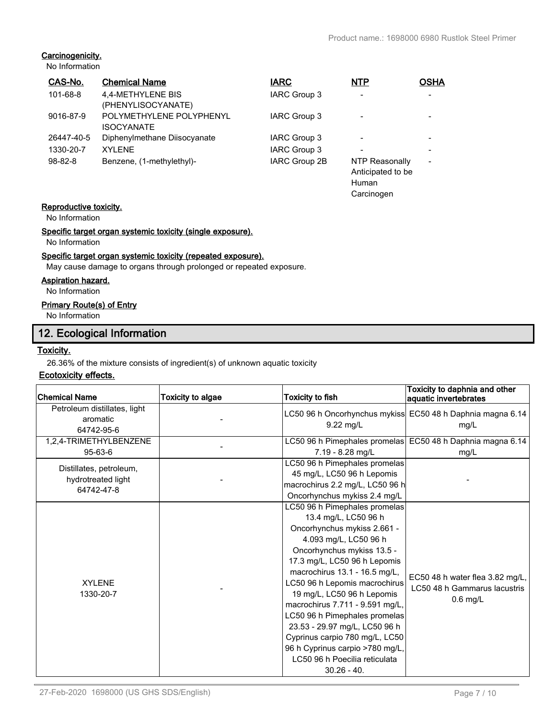Carcinogen

# **Carcinogenicity.**

No Information

| CAS-No.       | <b>Chemical Name</b>                          | <b>IARC</b>          | <b>NTP</b>               | <b>OSHA</b>              |
|---------------|-----------------------------------------------|----------------------|--------------------------|--------------------------|
| 101-68-8      | 4,4-METHYLENE BIS<br>(PHENYLISOCYANATE)       | <b>IARC Group 3</b>  | $\overline{\phantom{0}}$ |                          |
| 9016-87-9     | POLYMETHYLENE POLYPHENYL<br><b>ISOCYANATE</b> | IARC Group 3         |                          |                          |
| 26447-40-5    | Diphenylmethane Diisocyanate                  | IARC Group 3         |                          |                          |
| 1330-20-7     | <b>XYLENE</b>                                 | <b>IARC Group 3</b>  | $\overline{\phantom{0}}$ |                          |
| $98 - 82 - 8$ | Benzene, (1-methylethyl)-                     | <b>IARC Group 2B</b> | NTP Reasonally           | $\overline{\phantom{0}}$ |
|               |                                               |                      | Anticipated to be        |                          |
|               |                                               |                      | Human                    |                          |

# **Reproductive toxicity.**

No Information

# **Specific target organ systemic toxicity (single exposure).**

No Information

# **Specific target organ systemic toxicity (repeated exposure).**

May cause damage to organs through prolonged or repeated exposure.

# **Aspiration hazard.**

No Information

# **Primary Route(s) of Entry**

No Information

# **12. Ecological Information**

# **Toxicity.**

26.36% of the mixture consists of ingredient(s) of unknown aquatic toxicity

# **Ecotoxicity effects.**

| <b>Chemical Name</b>                                        | <b>Toxicity to algae</b> | Toxicity to fish                                                                                                                                                                                                                                                                                                                                                                                                                                                                                        | Toxicity to daphnia and other<br>aquatic invertebrates                        |
|-------------------------------------------------------------|--------------------------|---------------------------------------------------------------------------------------------------------------------------------------------------------------------------------------------------------------------------------------------------------------------------------------------------------------------------------------------------------------------------------------------------------------------------------------------------------------------------------------------------------|-------------------------------------------------------------------------------|
| Petroleum distillates, light<br>aromatic<br>64742-95-6      |                          | LC50 96 h Oncorhynchus mykiss<br>9.22 mg/L                                                                                                                                                                                                                                                                                                                                                                                                                                                              | EC50 48 h Daphnia magna 6.14<br>mg/L                                          |
| 1,2,4-TRIMETHYLBENZENE<br>$95-63-6$                         |                          | 7.19 - 8.28 mg/L                                                                                                                                                                                                                                                                                                                                                                                                                                                                                        | LC50 96 h Pimephales promelas EC50 48 h Daphnia magna 6.14<br>mq/L            |
| Distillates, petroleum,<br>hydrotreated light<br>64742-47-8 |                          | LC50 96 h Pimephales promelas<br>45 mg/L, LC50 96 h Lepomis<br>macrochirus 2.2 mg/L, LC50 96 h<br>Oncorhynchus mykiss 2.4 mg/L                                                                                                                                                                                                                                                                                                                                                                          |                                                                               |
| <b>XYLENE</b><br>1330-20-7                                  |                          | LC50 96 h Pimephales promelas<br>13.4 mg/L, LC50 96 h<br>Oncorhynchus mykiss 2.661 -<br>4.093 mg/L, LC50 96 h<br>Oncorhynchus mykiss 13.5 -<br>17.3 mg/L, LC50 96 h Lepomis<br>macrochirus 13.1 - 16.5 mg/L,<br>LC50 96 h Lepomis macrochirus<br>19 mg/L, LC50 96 h Lepomis<br>macrochirus 7.711 - 9.591 mg/L,<br>LC50 96 h Pimephales promelas<br>23.53 - 29.97 mg/L, LC50 96 h<br>Cyprinus carpio 780 mg/L, LC50<br>96 h Cyprinus carpio >780 mg/L,<br>LC50 96 h Poecilia reticulata<br>$30.26 - 40.$ | EC50 48 h water flea 3.82 mg/L,<br>LC50 48 h Gammarus lacustris<br>$0.6$ mg/L |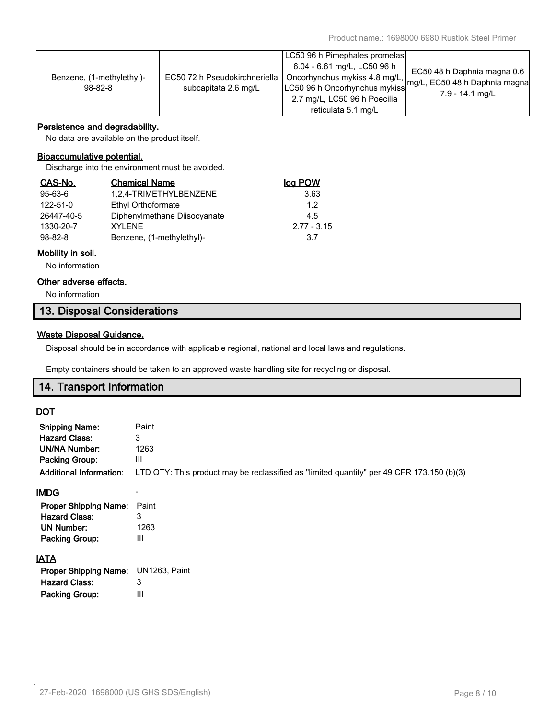| Benzene, (1-methylethyl)-<br>$98-82-8$ | EC50 72 h Pseudokirchneriella<br>subcapitata 2.6 mg/L | LC50 96 h Pimephales promelas<br>6.04 - 6.61 mg/L, LC50 96 h<br>Oncorhynchus mykiss 4.8 mg/L,<br>LC50 96 h Oncorhynchus mykiss | EC50 48 h Daphnia magna 0.6<br>mg/L, EC50 48 h Daphnia magna<br>7.9 - 14.1 mg/L |
|----------------------------------------|-------------------------------------------------------|--------------------------------------------------------------------------------------------------------------------------------|---------------------------------------------------------------------------------|
|                                        |                                                       | 2.7 mg/L, LC50 96 h Poecilia                                                                                                   |                                                                                 |
|                                        |                                                       | reticulata 5.1 mg/L                                                                                                            |                                                                                 |

# **Persistence and degradability.**

No data are available on the product itself.

# **Bioaccumulative potential.**

Discharge into the environment must be avoided.

| CAS-No.       | <b>Chemical Name</b>         | <u>log POW</u> |
|---------------|------------------------------|----------------|
| 95-63-6       | 1,2,4-TRIMETHYLBENZENE       | 3.63           |
| 122-51-0      | Ethyl Orthoformate           | 1.2            |
| 26447-40-5    | Diphenylmethane Diisocyanate | 4.5            |
| 1330-20-7     | <b>XYI FNF</b>               | $2.77 - 3.15$  |
| $98 - 82 - 8$ | Benzene, (1-methylethyl)-    | 3.7            |

# **Mobility in soil.**

No information

# **Other adverse effects.**

No information

# **13. Disposal Considerations**

# **Waste Disposal Guidance.**

Disposal should be in accordance with applicable regional, national and local laws and regulations.

Empty containers should be taken to an approved waste handling site for recycling or disposal.

# **14. Transport Information**

# **DOT**

| <b>Shipping Name:</b><br><b>Hazard Class:</b><br>UN/NA Number:<br><b>Packing Group:</b><br><b>Additional Information:</b> | Paint<br>3<br>1263<br>Ш<br>LTD QTY: This product may be reclassified as "limited quantity" per 49 CFR 173.150 (b)(3) |
|---------------------------------------------------------------------------------------------------------------------------|----------------------------------------------------------------------------------------------------------------------|
| <b>IMDG</b>                                                                                                               |                                                                                                                      |
| <b>Proper Shipping Name:</b>                                                                                              | Paint                                                                                                                |
| <b>Hazard Class:</b>                                                                                                      |                                                                                                                      |

# **IATA**

| Proper Shipping Name: UN1263, Paint |   |
|-------------------------------------|---|
| <b>Hazard Class:</b>                | 3 |
| Packing Group:                      | Ш |

**UN Number:** 1263 **Packing Group:** III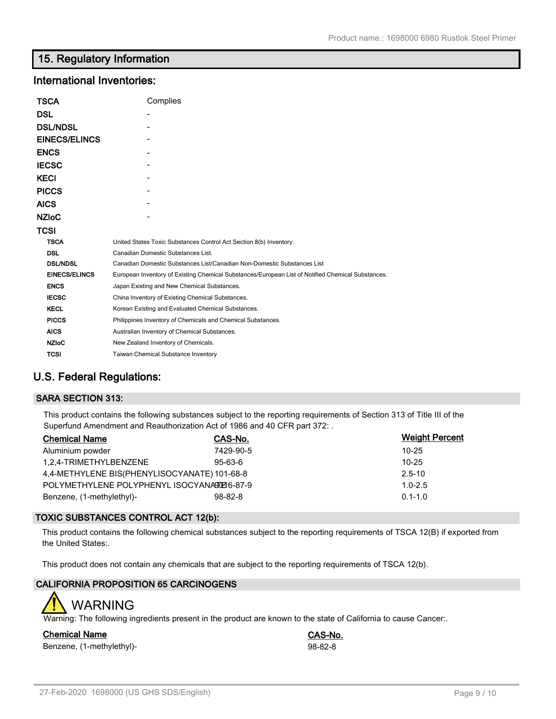# **15. Regulatory Information**

# **International Inventories:**

| TSCA                 | Complies                                                                                          |
|----------------------|---------------------------------------------------------------------------------------------------|
| DSL                  |                                                                                                   |
| <b>DSL/NDSL</b>      |                                                                                                   |
| <b>EINECS/ELINCS</b> |                                                                                                   |
| <b>ENCS</b>          |                                                                                                   |
| <b>IECSC</b>         |                                                                                                   |
| <b>KECI</b>          |                                                                                                   |
| <b>PICCS</b>         |                                                                                                   |
| <b>AICS</b>          |                                                                                                   |
| <b>NZIoC</b>         |                                                                                                   |
| TCSI                 |                                                                                                   |
| <b>TSCA</b>          | United States Toxic Substances Control Act Section 8(b) Inventory.                                |
| <b>DSL</b>           | Canadian Domestic Substances List.                                                                |
| <b>DSL/NDSL</b>      | Canadian Domestic Substances List/Canadian Non-Domestic Substances List                           |
| <b>EINECS/ELINCS</b> | European Inventory of Existing Chemical Substances/European List of Notified Chemical Substances. |
| <b>ENCS</b>          | Japan Existing and New Chemical Substances.                                                       |
| <b>IECSC</b>         | China Inventory of Existing Chemical Substances.                                                  |
| <b>KECL</b>          | Korean Existing and Evaluated Chemical Substances.                                                |
| <b>PICCS</b>         | Philippines Inventory of Chemicals and Chemical Substances.                                       |
| <b>AICS</b>          | Australian Inventory of Chemical Substances.                                                      |
| <b>NZIoC</b>         | New Zealand Inventory of Chemicals.                                                               |
| <b>TCSI</b>          | <b>Taiwan Chemical Substance Inventory</b>                                                        |

# **U.S. Federal Regulations:**

# **SARA SECTION 313:**

This product contains the following substances subject to the reporting requirements of Section 313 of Title III of the Superfund Amendment and Reauthorization Act of 1986 and 40 CFR part 372: .

| <b>Chemical Name</b>                         | CAS-No.       | <b>Weight Percent</b> |
|----------------------------------------------|---------------|-----------------------|
| Aluminium powder                             | 7429-90-5     | $10 - 25$             |
| 1.2.4-TRIMETHYLBENZENE                       | $95 - 63 - 6$ | $10 - 25$             |
| 4,4-METHYLENE BIS(PHENYLISOCYANATE) 101-68-8 | $2.5 - 10$    |                       |
| POLYMETHYLENE POLYPHENYL ISOCYANATE 6-87-9   | $1.0 - 2.5$   |                       |
| Benzene, (1-methylethyl)-                    | $98 - 82 - 8$ | $0.1 - 1.0$           |

# **TOXIC SUBSTANCES CONTROL ACT 12(b):**

This product contains the following chemical substances subject to the reporting requirements of TSCA 12(B) if exported from the United States:.

This product does not contain any chemicals that are subject to the reporting requirements of TSCA 12(b).

# **CALIFORNIA PROPOSITION 65 CARCINOGENS**

# WARNING

Warning: The following ingredients present in the product are known to the state of California to cause Cancer:.

# **Chemical Name CAS-No.**

Benzene, (1-methylethyl)-<br>
98-82-8